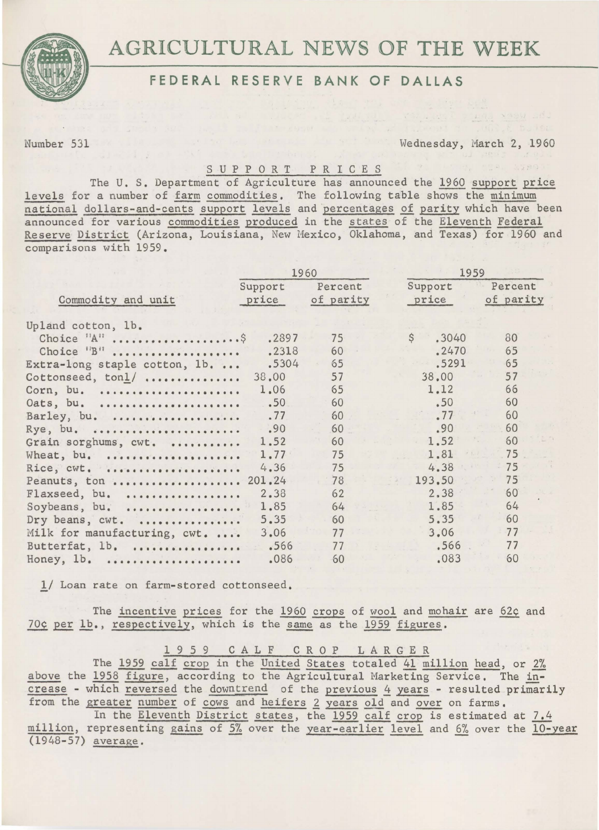

# AGRICULTURAL NEWS OF THE WEEK

# FEDERAL RESERVE BANK OF DALLAS

Number 531 Wednesday, March 2, 1960

## S U P P 0 R T P R I C E S

The U. S. Department of Agriculture has announced the 1960 support price levels for a number of farm commodities. The following table shows the minimum national dollars-and-cents support levels and percentages of parity which have been announced for various commodities produced in the states of the Eleventh Federal Reserve District (Arizona, Louisiana, New Mexico, Oklahoma, and Texas) for 1960 and comparisons with 19S9.

|                                                        | 1960           |                | 1959                           |                |
|--------------------------------------------------------|----------------|----------------|--------------------------------|----------------|
| Commodity and unit                                     | Support        | Percent        | Support                        | Percent        |
|                                                        | price          | of parity      | price                          | of parity      |
| Upland cotton, lb.<br>Choice "B"                       | .2897<br>.2318 | 75<br>60       | $\mathsf{S}$<br>.3040<br>.2470 | 80<br>65       |
| Extra-long staple cotton, 1b.                          | .5304          | 65             | .5291                          | 65             |
| Cottonseed, ton1/                                      | 38.00          | 57             | 38.00                          | 57             |
| Corn, bu.                                              | 1.06           | 65             | 1.12                           | 66             |
| Oats, bu.                                              | .50            | 60             | .50                            | 60             |
| Barley, bu.                                            | .77            | 60             | .77                            | 60             |
| Rye, bu.                                               | .90            | 60             | .90                            | 60             |
| Grain sorghums, cwt.                                   | 1.52           | 60             | 1.52                           | 60             |
| Wheat, bu.                                             | 1.77           | 75             | 1.81                           | 75             |
| Rice, cwt.                                             | 4.36           | 75             | 4.38                           | 75             |
| Peanuts, ton  201.24<br>Flaxseed, bu.<br>Soybeans, bu. | 2.38<br>1.85   | 78<br>62<br>64 | 193.50<br>2.38<br>1.85         | 75<br>60<br>64 |
| Dry beans, cwt.                                        | 5.35           | 60             | 5.35                           | 60             |
| Milk for manufacturing, cwt.                           | 3.06           | 77             | 3.06                           | 77             |
| Butterfat, 1b.                                         | .566           | 77             | .566                           | 77             |
| Honey, 1b.                                             | .086           | 60             | .083                           | 60             |

l/ Loan rate on farm-stored cottonseed,

The incentive prices for the 1960 crops of wool and mohair are 62¢ and 70¢ per lb., respectively, which is the same as the 1959 figures.

1 9 5 9 C A L F C R 0 P LARGER

The 1959 calf crop in the United States totaled 41 million head, or 2% above the 1958 figure, according to the Agricultural Marketing Service. The in $c$ rease - which reversed the downtrend of the previous  $4$  years - resulted primarily from the greater number of cows and heifers 2 years old and over on farms.

In the Eleventh District states, the 1959 calf crop is estimated at 7.4 million, representing gains of 5% over the year-earlier level and 6% over the 10-year (1948-57) average.